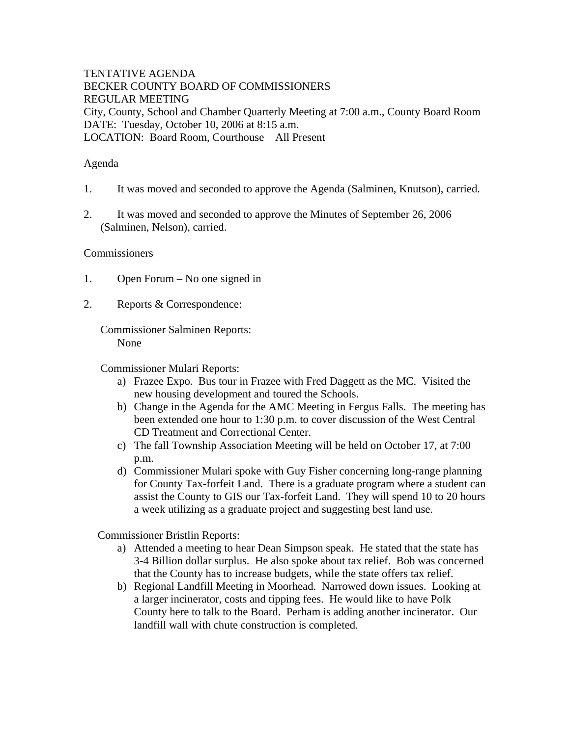TENTATIVE AGENDA BECKER COUNTY BOARD OF COMMISSIONERS REGULAR MEETING City, County, School and Chamber Quarterly Meeting at 7:00 a.m., County Board Room DATE: Tuesday, October 10, 2006 at 8:15 a.m. LOCATION: Board Room, Courthouse All Present

## Agenda

- 1. It was moved and seconded to approve the Agenda (Salminen, Knutson), carried.
- 2. It was moved and seconded to approve the Minutes of September 26, 2006 (Salminen, Nelson), carried.

## Commissioners

- 1. Open Forum No one signed in
- 2. Reports & Correspondence:

Commissioner Salminen Reports: None

Commissioner Mulari Reports:

- a) Frazee Expo. Bus tour in Frazee with Fred Daggett as the MC. Visited the new housing development and toured the Schools.
- b) Change in the Agenda for the AMC Meeting in Fergus Falls. The meeting has been extended one hour to 1:30 p.m. to cover discussion of the West Central CD Treatment and Correctional Center.
- c) The fall Township Association Meeting will be held on October 17, at 7:00 p.m.
- d) Commissioner Mulari spoke with Guy Fisher concerning long-range planning for County Tax-forfeit Land. There is a graduate program where a student can assist the County to GIS our Tax-forfeit Land. They will spend 10 to 20 hours a week utilizing as a graduate project and suggesting best land use.

Commissioner Bristlin Reports:

- a) Attended a meeting to hear Dean Simpson speak. He stated that the state has 3-4 Billion dollar surplus. He also spoke about tax relief. Bob was concerned that the County has to increase budgets, while the state offers tax relief.
- b) Regional Landfill Meeting in Moorhead. Narrowed down issues. Looking at a larger incinerator, costs and tipping fees. He would like to have Polk County here to talk to the Board. Perham is adding another incinerator. Our landfill wall with chute construction is completed.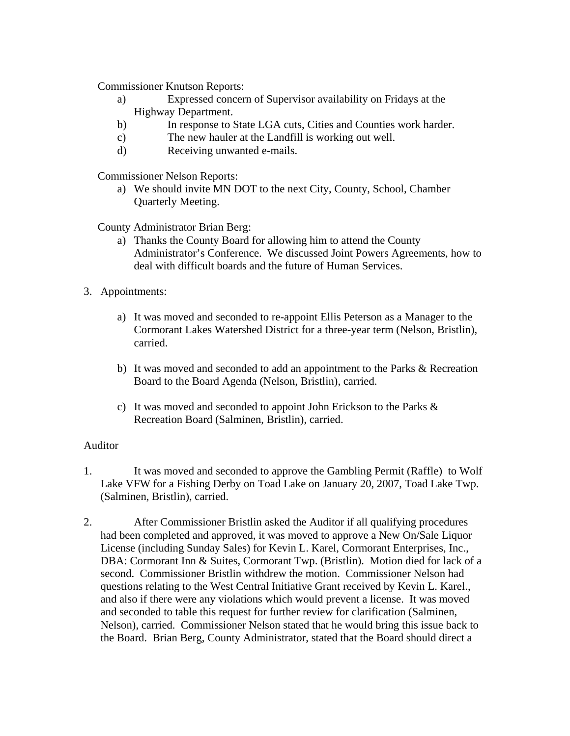Commissioner Knutson Reports:

- a) Expressed concern of Supervisor availability on Fridays at the Highway Department.
- b) In response to State LGA cuts, Cities and Counties work harder.
- c) The new hauler at the Landfill is working out well.
- d) Receiving unwanted e-mails.

Commissioner Nelson Reports:

a) We should invite MN DOT to the next City, County, School, Chamber Quarterly Meeting.

County Administrator Brian Berg:

- a) Thanks the County Board for allowing him to attend the County Administrator's Conference. We discussed Joint Powers Agreements, how to deal with difficult boards and the future of Human Services.
- 3. Appointments:
	- a) It was moved and seconded to re-appoint Ellis Peterson as a Manager to the Cormorant Lakes Watershed District for a three-year term (Nelson, Bristlin), carried.
	- b) It was moved and seconded to add an appointment to the Parks & Recreation Board to the Board Agenda (Nelson, Bristlin), carried.
	- c) It was moved and seconded to appoint John Erickson to the Parks & Recreation Board (Salminen, Bristlin), carried.

## Auditor

- 1. It was moved and seconded to approve the Gambling Permit (Raffle) to Wolf Lake VFW for a Fishing Derby on Toad Lake on January 20, 2007, Toad Lake Twp. (Salminen, Bristlin), carried.
- 2. After Commissioner Bristlin asked the Auditor if all qualifying procedures had been completed and approved, it was moved to approve a New On/Sale Liquor License (including Sunday Sales) for Kevin L. Karel, Cormorant Enterprises, Inc., DBA: Cormorant Inn & Suites, Cormorant Twp. (Bristlin). Motion died for lack of a second. Commissioner Bristlin withdrew the motion. Commissioner Nelson had questions relating to the West Central Initiative Grant received by Kevin L. Karel., and also if there were any violations which would prevent a license. It was moved and seconded to table this request for further review for clarification (Salminen, Nelson), carried. Commissioner Nelson stated that he would bring this issue back to the Board. Brian Berg, County Administrator, stated that the Board should direct a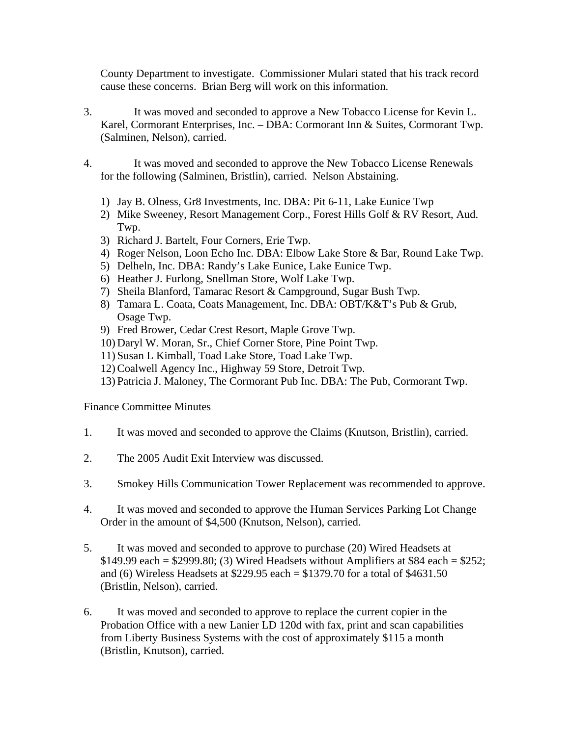County Department to investigate. Commissioner Mulari stated that his track record cause these concerns. Brian Berg will work on this information.

- 3. It was moved and seconded to approve a New Tobacco License for Kevin L. Karel, Cormorant Enterprises, Inc. – DBA: Cormorant Inn & Suites, Cormorant Twp. (Salminen, Nelson), carried.
- 4. It was moved and seconded to approve the New Tobacco License Renewals for the following (Salminen, Bristlin), carried. Nelson Abstaining.
	- 1) Jay B. Olness, Gr8 Investments, Inc. DBA: Pit 6-11, Lake Eunice Twp
	- 2) Mike Sweeney, Resort Management Corp., Forest Hills Golf & RV Resort, Aud. Twp.
	- 3) Richard J. Bartelt, Four Corners, Erie Twp.
	- 4) Roger Nelson, Loon Echo Inc. DBA: Elbow Lake Store & Bar, Round Lake Twp.
	- 5) Delheln, Inc. DBA: Randy's Lake Eunice, Lake Eunice Twp.
	- 6) Heather J. Furlong, Snellman Store, Wolf Lake Twp.
	- 7) Sheila Blanford, Tamarac Resort & Campground, Sugar Bush Twp.
	- 8) Tamara L. Coata, Coats Management, Inc. DBA: OBT/K&T's Pub & Grub, Osage Twp.
	- 9) Fred Brower, Cedar Crest Resort, Maple Grove Twp.
	- 10) Daryl W. Moran, Sr., Chief Corner Store, Pine Point Twp.
	- 11) Susan L Kimball, Toad Lake Store, Toad Lake Twp.
	- 12) Coalwell Agency Inc., Highway 59 Store, Detroit Twp.
	- 13) Patricia J. Maloney, The Cormorant Pub Inc. DBA: The Pub, Cormorant Twp.

Finance Committee Minutes

- 1. It was moved and seconded to approve the Claims (Knutson, Bristlin), carried.
- 2. The 2005 Audit Exit Interview was discussed.
- 3. Smokey Hills Communication Tower Replacement was recommended to approve.
- 4. It was moved and seconded to approve the Human Services Parking Lot Change Order in the amount of \$4,500 (Knutson, Nelson), carried.
- 5. It was moved and seconded to approve to purchase (20) Wired Headsets at  $$149.99$  each =  $$2999.80$ ; (3) Wired Headsets without Amplifiers at \$84 each =  $$252$ ; and (6) Wireless Headsets at \$229.95 each = \$1379.70 for a total of \$4631.50 (Bristlin, Nelson), carried.
- 6. It was moved and seconded to approve to replace the current copier in the Probation Office with a new Lanier LD 120d with fax, print and scan capabilities from Liberty Business Systems with the cost of approximately \$115 a month (Bristlin, Knutson), carried.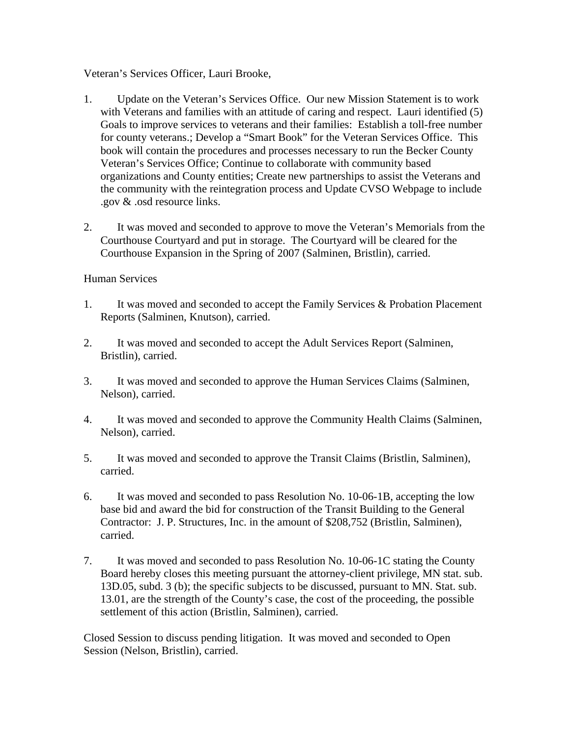Veteran's Services Officer, Lauri Brooke,

- 1. Update on the Veteran's Services Office. Our new Mission Statement is to work with Veterans and families with an attitude of caring and respect. Lauri identified (5) Goals to improve services to veterans and their families: Establish a toll-free number for county veterans.; Develop a "Smart Book" for the Veteran Services Office. This book will contain the procedures and processes necessary to run the Becker County Veteran's Services Office; Continue to collaborate with community based organizations and County entities; Create new partnerships to assist the Veterans and the community with the reintegration process and Update CVSO Webpage to include .gov & .osd resource links.
- 2. It was moved and seconded to approve to move the Veteran's Memorials from the Courthouse Courtyard and put in storage. The Courtyard will be cleared for the Courthouse Expansion in the Spring of 2007 (Salminen, Bristlin), carried.

## Human Services

- 1. It was moved and seconded to accept the Family Services & Probation Placement Reports (Salminen, Knutson), carried.
- 2. It was moved and seconded to accept the Adult Services Report (Salminen, Bristlin), carried.
- 3. It was moved and seconded to approve the Human Services Claims (Salminen, Nelson), carried.
- 4. It was moved and seconded to approve the Community Health Claims (Salminen, Nelson), carried.
- 5. It was moved and seconded to approve the Transit Claims (Bristlin, Salminen), carried.
- 6. It was moved and seconded to pass Resolution No. 10-06-1B, accepting the low base bid and award the bid for construction of the Transit Building to the General Contractor: J. P. Structures, Inc. in the amount of \$208,752 (Bristlin, Salminen), carried.
- 7. It was moved and seconded to pass Resolution No. 10-06-1C stating the County Board hereby closes this meeting pursuant the attorney-client privilege, MN stat. sub. 13D.05, subd. 3 (b); the specific subjects to be discussed, pursuant to MN. Stat. sub. 13.01, are the strength of the County's case, the cost of the proceeding, the possible settlement of this action (Bristlin, Salminen), carried.

Closed Session to discuss pending litigation. It was moved and seconded to Open Session (Nelson, Bristlin), carried.